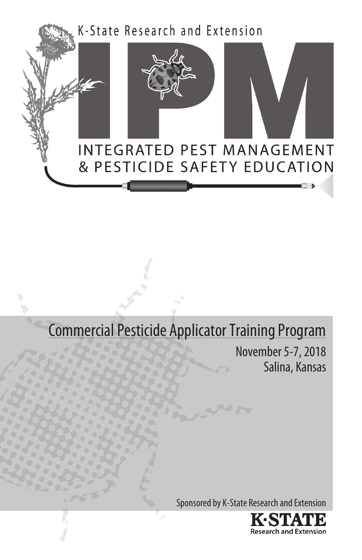K-State Research and Extension

# INTEGRATED PEST MANAGEMENT & PESTICIDE SAFETY EDUCATION

# Commercial Pesticide Applicator Training Program

November 5-7, 2018 Salina, Kansas

Sponsored by K-State Research and Extension

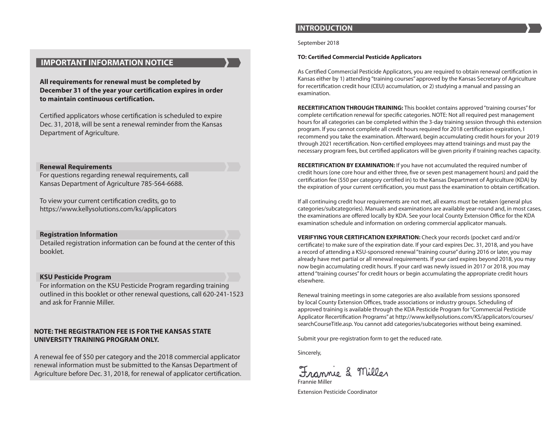## **IMPORTANT INFORMATION NOTICE**

**All requirements for renewal must be completed by December 31 of the year your certification expires in order to maintain continuous certification.**

Certified applicators whose certification is scheduled to expire Dec. 31, 2018, will be sent a renewal reminder from the Kansas Department of Agriculture.

### **Renewal Requirements**

For questions regarding renewal requirements, call Kansas Department of Agriculture 785-564-6688.

To view your current certification credits, go to https://www.kellysolutions.com/ks/applicators

### **Registration Information**

Detailed registration information can be found at the center of this booklet.

### **KSU Pesticide Program**

For information on the KSU Pesticide Program regarding training outlined in this booklet or other renewal questions, call 620-241-1523 and ask for Frannie Miller.

### **NOTE: THE REGISTRATION FEE IS FOR THE KANSAS STATE UNIVERSITY TRAINING PROGRAM ONLY.**

A renewal fee of \$50 per category and the 2018 commercial applicator renewal information must be submitted to the Kansas Department of Agriculture before Dec. 31, 2018, for renewal of applicator certification.

### **INTRODUCTION**

September 2018

### **TO: Certified Commercial Pesticide Applicators**

As Certified Commercial Pesticide Applicators, you are required to obtain renewal certification in Kansas either by 1) attending "training courses" approved by the Kansas Secretary of Agriculture for recertification credit hour (CEU) accumulation, or 2) studying a manual and passing an examination.

**RECERTIFICATION THROUGH TRAINING:** This booklet contains approved "training courses" for complete certification renewal for specific categories. NOTE: Not all required pest management hours for all categories can be completed within the 3-day training session through this extension program. If you cannot complete all credit hours required for 2018 certification expiration, I recommend you take the examination. Afterward, begin accumulating credit hours for your 2019 through 2021 recertification. Non-certified employees may attend trainings and must pay the necessary program fees, but certified applicators will be given priority if training reaches capacity.

**RECERTIFICATION BY EXAMINATION:** If you have not accumulated the required number of credit hours (one core hour and either three, five or seven pest management hours) and paid the certification fee (\$50 per category certified in) to the Kansas Department of Agriculture (KDA) by the expiration of your current certification, you must pass the examination to obtain certification.

If all continuing credit hour requirements are not met, all exams must be retaken (general plus categories/subcategories). Manuals and examinations are available year-round and, in most cases, the examinations are offered locally by KDA. See your local County Extension Office for the KDA examination schedule and information on ordering commercial applicator manuals.

**VERIFYING YOUR CERTIFICATION EXPIRATION:** Check your records (pocket card and/or certificate) to make sure of the expiration date. If your card expires Dec. 31, 2018, and you have a record of attending a KSU-sponsored renewal "training course" during 2016 or later, you may already have met partial or all renewal requirements. If your card expires beyond 2018, you may now begin accumulating credit hours. If your card was newly issued in 2017 or 2018, you may attend "training courses" for credit hours or begin accumulating the appropriate credit hours elsewhere.

Renewal training meetings in some categories are also available from sessions sponsored by local County Extension Offices, trade associations or industry groups. Scheduling of approved training is available through the KDA Pesticide Program for "Commercial Pesticide Applicator Recertification Programs" at http://www.kellysolutions.com/KS/applicators/courses/ searchCourseTitle.asp. You cannot add categories/subcategories without being examined.

Submit your pre-registration form to get the reduced rate.

Sincerely,

nie & Miller

Frannie Miller Extension Pesticide Coordinator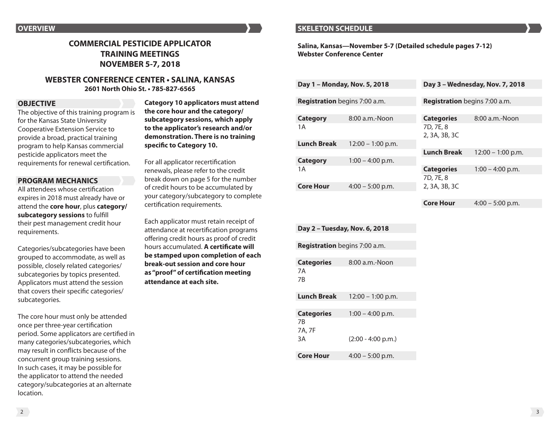## **COMMERCIAL PESTICIDE APPLICATOR TRAINING MEETINGS NOVEMBER 5-7, 2018**

### **WEBSTER CONFERENCE CENTER • SALINA, KANSAS 2601 North Ohio St. • 785-827-6565**

### **OBJECTIVE**

The objective of this training program is for the Kansas State University Cooperative Extension Service to provide a broad, practical training program to help Kansas commercial pesticide applicators meet the requirements for renewal certification.

### **PROGRAM MECHANICS**

All attendees whose certification expires in 2018 must already have or attend the **core hour**, plus **category/ subcategory sessions** to fulfill their pest management credit hour requirements.

Categories/subcategories have been grouped to accommodate, as well as possible, closely related categories/ subcategories by topics presented. Applicators must attend the session that covers their specific categories/ subcategories.

The core hour must only be attended once per three-year certification period. Some applicators are certified in many categories/subcategories, which may result in conflicts because of the concurrent group training sessions. In such cases, it may be possible for the applicator to attend the needed category/subcategories at an alternate location.

**Category 10 applicators must attend the core hour and the category/ subcategory sessions, which apply to the applicator's research and/or demonstration. There is no training specific to Category 10.**

For all applicator recertification renewals, please refer to the credit break down on page 5 for the number of credit hours to be accumulated by your category/subcategory to complete certification requirements.

Each applicator must retain receipt of attendance at recertification programs offering credit hours as proof of credit hours accumulated. **A certificate will be stamped upon completion of each break-out session and core hour as "proof" of certification meeting attendance at each site.**

## **SKELETON SCHEDULE**

**Salina, Kansas—November 5-7 (Detailed schedule pages 7-12) Webster Conference Center**

| Day 1 - Monday, Nov. 5, 2018  |                     | Day 3 - Wednesday, Nov. 7, 2018 |                     |
|-------------------------------|---------------------|---------------------------------|---------------------|
|                               |                     |                                 |                     |
| Registration begins 7:00 a.m. |                     | Registration begins 7:00 a.m.   |                     |
|                               |                     |                                 |                     |
| <b>Category</b>               | 8:00 a.m.-Noon      | <b>Categories</b>               | 8:00 a.m.-Noon      |
| 1 A                           |                     | 7D, 7E, 8                       |                     |
|                               |                     | 2, 3A, 3B, 3C                   |                     |
| <b>Lunch Break</b>            | $12:00 - 1:00$ p.m. |                                 |                     |
|                               |                     | <b>Lunch Break</b>              | $12:00 - 1:00$ p.m. |
| <b>Category</b>               | $1:00 - 4:00$ p.m.  |                                 |                     |
| 1 A                           |                     | <b>Categories</b>               | $1:00 - 4:00$ p.m.  |
|                               |                     | 7D, 7E, 8                       |                     |
| <b>Core Hour</b>              | $4:00 - 5:00$ p.m.  | 2, 3A, 3B, 3C                   |                     |
|                               |                     |                                 |                     |
|                               |                     | <b>Core Hour</b>                | $4:00 - 5:00$ p.m.  |

| Day 2 - Tuesday, Nov. 6, 2018           |                                            |  |  |
|-----------------------------------------|--------------------------------------------|--|--|
| <b>Registration</b> begins 7:00 a.m.    |                                            |  |  |
| <b>Categories</b><br>7A<br>7B           | 8:00 a.m.-Noon                             |  |  |
| Lunch Break                             | $12:00 - 1:00$ p.m.                        |  |  |
| <b>Categories</b><br>7B<br>7A, 7F<br>3A | $1:00 - 4:00$ p.m.<br>$(2:00 - 4:00 p.m.)$ |  |  |
| <b>Core Hour</b>                        | $4:00 - 5:00$ p.m.                         |  |  |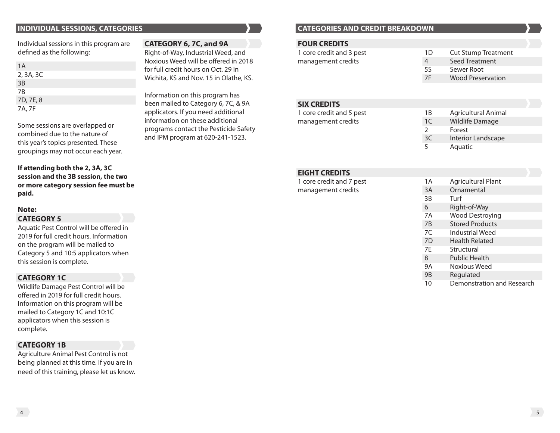Individual sessions in this program are defined as the following:

| 1 A       |
|-----------|
| 2, 3A, 3C |
| 3B        |
| 7B        |
| 7D, 7E, 8 |
| 7A, 7F    |
|           |

Some sessions are overlapped or combined due to the nature of this year's topics presented. These groupings may not occur each year.

**If attending both the 2, 3A, 3C session and the 3B session, the two or more category session fee must be paid.**

### **Note:**

### **CATEGORY 5**

Aquatic Pest Control will be offered in 2019 for full credit hours. Information on the program will be mailed to Category 5 and 10:5 applicators when this session is complete.

### **CATEGORY 1C**

Wildlife Damage Pest Control will be offered in 2019 for full credit hours. Information on this program will be mailed to Category 1C and 10:1C applicators when this session is complete.

### **CATEGORY 1B**

Agriculture Animal Pest Control is not being planned at this time. If you are in need of this training, please let us know.

### **CATEGORY 6, 7C, and 9A**

Right-of-Way, Industrial Weed, and Noxious Weed will be offered in 2018 for full credit hours on Oct. 29 in Wichita, KS and Nov. 15 in Olathe, KS.

Information on this program has been mailed to Category 6, 7C, & 9A applicators. If you need additional information on these additional programs contact the Pesticide Safety and IPM program at 620-241-1523.

## **INDIVIDUAL SESSIONS, CATEGORIES CATEGORIES AND CREDIT BREAKDOWN**

### **FOUR CREDITS**

| 1 core credit and 3 pest | 11) | <b>Cut Stump Treatment</b> |
|--------------------------|-----|----------------------------|
| management credits       | 4   | Seed Treatment             |
|                          | .5S | Sewer Root                 |
|                          | 7F  | <b>Wood Preservation</b>   |
|                          |     |                            |
|                          |     |                            |

## **SIX CREDITS**

1 core credit and 5 pest management credits

- 1B Agricultural Animal
- 1C Wildlife Damage
- 2 Forest
- 3C Interior Landscape
- 5 Aquatic

### **EIGHT CREDITS**

1 core credit and 7 pest management credits

| 1 A       | Agricultural Plant         |
|-----------|----------------------------|
| 3A        | Ornamental                 |
| 3B        | Turf                       |
| 6         | Right-of-Way               |
| 7A        | <b>Wood Destroying</b>     |
| 7B        | <b>Stored Products</b>     |
| 7C        | Industrial Weed            |
| 7D        | <b>Health Related</b>      |
| 7E        | Structural                 |
| 8         | <b>Public Health</b>       |
| <b>9A</b> | Noxious Weed               |
| 9B        | Regulated                  |
| 10        | Demonstration and Research |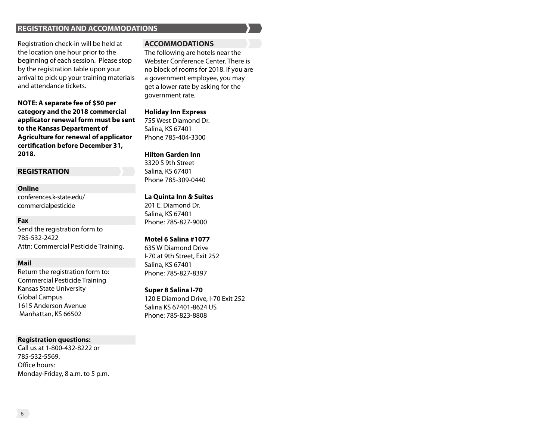## **REGISTRATION AND ACCOMMODATIONS**

Registration check-in will be held at the location one hour prior to the beginning of each session. Please stop by the registration table upon your arrival to pick up your training materials and attendance tickets.

**NOTE: A separate fee of \$50 per category and the 2018 commercial applicator renewal form must be sent to the Kansas Department of Agriculture for renewal of applicator certification before December 31, 2018.**

### **REGISTRATION**

### **Online**

conferences.k-state.edu/ commercialpesticide

### **Fax**

Send the registration form to 785-532-2422 Attn: Commercial Pesticide Training.

### **Mail**

Return the registration form to: Commercial Pesticide Training Kansas State University Global Campus 1615 Anderson Avenue Manhattan, KS 66502

### **Registration questions:**

Call us at 1-800-432-8222 or 785-532-5569. Office hours: Monday-Friday, 8 a.m. to 5 p.m.

## **ACCOMMODATIONS**

The following are hotels near the Webster Conference Center. There is no block of rooms for 2018. If you are a government employee, you may get a lower rate by asking for the government rate.

### **Holiday Inn Express**

755 West Diamond Dr. Salina, KS 67401 Phone 785-404-3300

### **Hilton Garden Inn**

3320 S 9th Street Salina, KS 67401 Phone 785-309-0440

### **La Quinta Inn & Suites**

201 E. Diamond Dr. Salina, KS 67401 Phone: 785-827-9000

### **Motel 6 Salina #1077**

635 W Diamond Drive I-70 at 9th Street, Exit 252 Salina, KS 67401 Phone: 785-827-8397

### **Super 8 Salina I-70**

120 E Diamond Drive, I-70 Exit 252 Salina KS 67401-8624 US Phone: 785-823-8808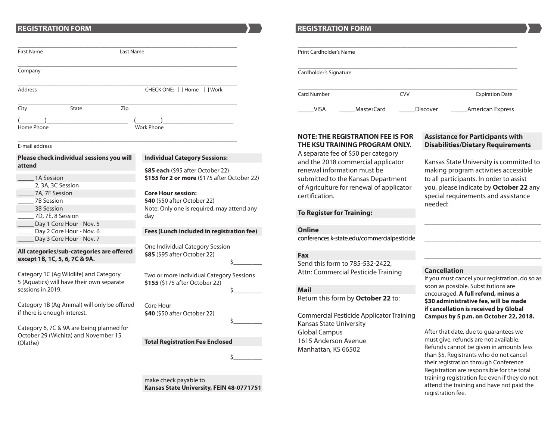## **REGISTRATION FORM REGISTRATION FORM**

| <b>First Name</b><br>Last Name                                                      |                                                                                   | <b>Print Card</b>             |
|-------------------------------------------------------------------------------------|-----------------------------------------------------------------------------------|-------------------------------|
| Company                                                                             |                                                                                   | Cardhold                      |
| Address                                                                             | CHECK ONE: [ ] Home [ ] Work                                                      | <b>Card Nun</b>               |
| City<br>State<br>Zip                                                                |                                                                                   | VI                            |
| Home Phone                                                                          | <b>Work Phone</b>                                                                 |                               |
| E-mail address                                                                      |                                                                                   | <b>NOTE:</b><br><b>THE KS</b> |
| Please check individual sessions you will<br>attend                                 | <b>Individual Category Sessions:</b>                                              | A separ<br>and the            |
| 1A Session<br>2, 3A, 3C Session                                                     | \$85 each (\$95 after October 22)<br>\$155 for 2 or more (\$175 after October 22) | renewa<br>submitt<br>of Agric |
| _7A, 7F Session<br>7B Session                                                       | <b>Core Hour session:</b><br>\$40 (\$50 after October 22)                         | certifica                     |
| <b>3B Session</b><br>7D, 7E, 8 Session<br>_Day 1 Core Hour - Nov. 5                 | Note: Only one is required, may attend any<br>day                                 | <b>To Regi</b>                |
| Day 2 Core Hour - Nov. 6<br>Day 3 Core Hour - Nov. 7                                | Fees (Lunch included in registration fee)                                         | <b>Online</b><br>conferer     |
| All categories/sub-categories are offered<br>except 1B, 1C, 5, 6, 7C & 9A.          | One Individual Category Session<br>\$85 (\$95 after October 22)<br>\$             | <b>Fax</b><br>Send th         |
| Category 1C (Ag Wildlife) and Category<br>5 (Aquatics) will have their own separate | Two or more Individual Category Sessions<br>\$155 (\$175 after October 22)        | Attn: Co                      |
| sessions in 2019.                                                                   | \$                                                                                | <b>Mail</b><br><b>Return</b>  |
| Category 1B (Ag Animal) will only be offered<br>if there is enough interest.        | Core Hour<br>\$40 (\$50 after October 22)                                         | Comme                         |

Category 6, 7C & 9A are being planned for October 29 (Wichita) and November 15 (Olathe)

**Total Registration Fee Enclosed**

make check payable to **Kansas State University, FEIN 48-0771751**

 $\mathsf{s}\_\_\_\_\_\_\$ 

 $\mathsf{s}\_\_\_\_\_\$ 

| Print Cardholder's Name |                   |            |                         |
|-------------------------|-------------------|------------|-------------------------|
| Cardholder's Signature  |                   |            |                         |
| <b>Card Number</b>      |                   | <b>CVV</b> | <b>Expiration Date</b>  |
| <b>VISA</b>             | <b>MasterCard</b> | Discover   | <b>American Express</b> |

### **NOTE: THE REGISTRATION FEE IS FOR THE THE KISS ON THE KISS ON STAIN AND KISS**

arate fee of \$50 per category ne 2018 commercial applicator ral information must be itted to the Kansas Department iculture for renewal of applicator cation.

### **gister for Training:**

## **Assistance for Participants with Disabilities/Dietary Requirements**

Kansas State University is committed to making program activities accessible to all participants. In order to assist you, please indicate by **October 22** any special requirements and assistance needed:

\_\_\_\_\_\_\_\_\_\_\_\_\_\_\_\_\_\_\_\_\_\_\_\_\_\_\_\_\_\_\_\_\_

\_\_\_\_\_\_\_\_\_\_\_\_\_\_\_\_\_\_\_\_\_\_\_\_\_\_\_\_\_\_\_\_\_

\_\_\_\_\_\_\_\_\_\_\_\_\_\_\_\_\_\_\_\_\_\_\_\_\_\_\_\_\_\_\_\_\_

## ences.k-state.edu/commercialpesticide

this form to 785-532-2422, Commercial Pesticide Training

n this form by **October 22** to:

nercial Pesticide Applicator Training Kansas State University Global Campus 1615 Anderson Avenue Manhattan, KS 66502

### **Cancellation**

If you must cancel your registration, do so as soon as possible. Substitutions are encouraged. **A full refund, minus a \$30 administrative fee, will be made if cancellation is received by Global Campus by 5 p.m. on October 22, 2018.**

After that date, due to guarantees we must give, refunds are not available. Refunds cannot be given in amounts less than \$5. Registrants who do not cancel their registration through Conference Registration are responsible for the total training registration fee even if they do not attend the training and have not paid the registration fee.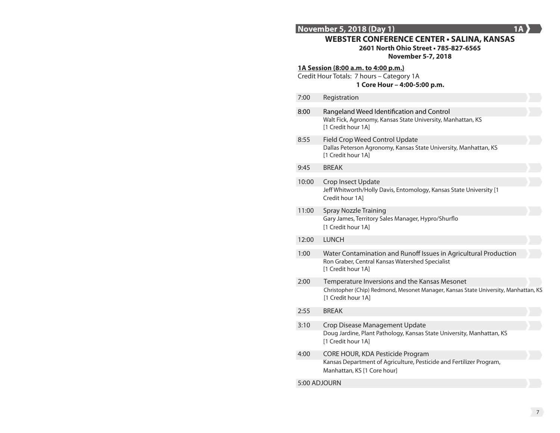## **November 5, 2018 (Day 1)** 1A **1A**

## **WEBSTER CONFERENCE CENTER • SALINA, KANSAS**

**2601 North Ohio Street • 785-827-6565**

**November 5-7, 2018**

| November 5-7, 2018 |                                                                                                                                                            |  |  |
|--------------------|------------------------------------------------------------------------------------------------------------------------------------------------------------|--|--|
|                    | 1A Session (8:00 a.m. to 4:00 p.m.)<br>Credit Hour Totals: 7 hours - Category 1A<br>1 Core Hour - 4:00-5:00 p.m.                                           |  |  |
| 7:00               | Registration                                                                                                                                               |  |  |
| 8:00               | Rangeland Weed Identification and Control<br>Walt Fick, Agronomy, Kansas State University, Manhattan, KS<br>[1 Credit hour 1A]                             |  |  |
| 8:55               | Field Crop Weed Control Update<br>Dallas Peterson Agronomy, Kansas State University, Manhattan, KS<br>[1 Credit hour 1A]                                   |  |  |
| 9:45               | <b>BREAK</b>                                                                                                                                               |  |  |
| 10:00              | <b>Crop Insect Update</b><br>Jeff Whitworth/Holly Davis, Entomology, Kansas State University [1<br>Credit hour 1A1                                         |  |  |
| 11:00              | <b>Spray Nozzle Training</b><br>Gary James, Territory Sales Manager, Hypro/Shurflo<br>[1 Credit hour 1A]                                                   |  |  |
| 12:00              | <b>LUNCH</b>                                                                                                                                               |  |  |
| 1:00               | Water Contamination and Runoff Issues in Agricultural Production<br>Ron Graber, Central Kansas Watershed Specialist<br>[1 Credit hour 1A]                  |  |  |
| 2:00               | Temperature Inversions and the Kansas Mesonet<br>Christopher (Chip) Redmond, Mesonet Manager, Kansas State University, Manhattan, KS<br>[1 Credit hour 1A] |  |  |
| 2:55               | <b>BREAK</b>                                                                                                                                               |  |  |
| 3:10               | Crop Disease Management Update<br>Doug Jardine, Plant Pathology, Kansas State University, Manhattan, KS<br>[1 Credit hour 1A]                              |  |  |
| 4:00               | CORE HOUR, KDA Pesticide Program<br>Kansas Department of Agriculture, Pesticide and Fertilizer Program,<br>Manhattan, KS [1 Core hour]                     |  |  |
| 5:00 ADJOURN       |                                                                                                                                                            |  |  |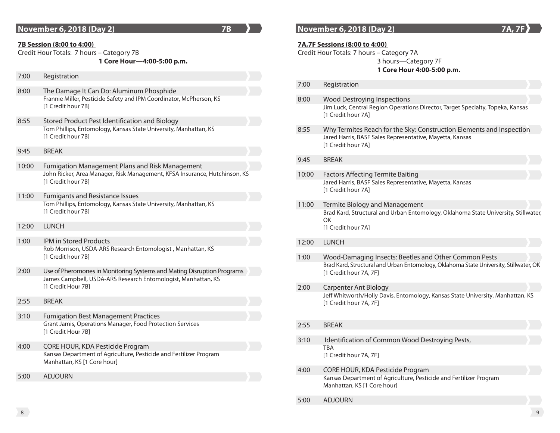## **November 6, 2018 (Day 2) 7B**

### **7B Session (8:00 to 4:00)**

Credit Hour Totals: 7 hours – Category 7B

**1 Core Hour—4:00-5:00 p.m.**

- 7:00 Registration
- 8:00 The Damage It Can Do: Aluminum Phosphide Frannie Miller, Pesticide Safety and IPM Coordinator, McPherson, KS [1 Credit hour 7B]
- 8:55 Stored Product Pest Identification and Biology Tom Phillips, Entomology, Kansas State University, Manhattan, KS [1 Credit hour 7B]

### 9:45 BREAK

- 10:00 Fumigation Management Plans and Risk Management John Ricker, Area Manager, Risk Management, KFSA Insurance, Hutchinson, KS [1 Credit hour 7B]
- 11:00 Fumigants and Resistance Issues Tom Phillips, Entomology, Kansas State University, Manhattan, KS [1 Credit hour 7B]

### 12:00 LUNCH

1:00 IPM in Stored Products Rob Morrison, USDA-ARS Research Entomologist , Manhattan, KS [1 Credit hour 7B]

2:00 Use of Pheromones in Monitoring Systems and Mating Disruption Programs James Campbell, USDA-ARS Research Entomologist, Manhattan, KS [1 Credit Hour 7B]

### 2:55 BREAK

- 3:10 Fumigation Best Management Practices Grant Jamis, Operations Manager, Food Protection Services [1 Credit Hour 7B]
- 4:00 CORE HOUR, KDA Pesticide Program Kansas Department of Agriculture, Pesticide and Fertilizer Program Manhattan, KS [1 Core hour]

5:00 ADJOURN

## **November 6, 2018 (Day 2)**

### **7A,7F Sessions (8:00 to 4:00)**

Credit Hour Totals: 7 hours – Category 7A

### 3 hours—Category 7F

### **1 Core Hour 4:00-5:00 p.m.**

| 7:00  | Registration                                                                                                                                                             |
|-------|--------------------------------------------------------------------------------------------------------------------------------------------------------------------------|
| 8:00  | <b>Wood Destroying Inspections</b><br>Jim Luck, Central Region Operations Director, Target Specialty, Topeka, Kansas<br>[1 Credit hour 7A]                               |
| 8:55  | Why Termites Reach for the Sky: Construction Elements and Inspection<br>Jared Harris, BASF Sales Representative, Mayetta, Kansas<br>[1 Credit hour 7A]                   |
| 9:45  | <b>BREAK</b>                                                                                                                                                             |
| 10:00 | <b>Factors Affecting Termite Baiting</b><br>Jared Harris, BASF Sales Representative, Mayetta, Kansas<br>[1 Credit hour 7A]                                               |
| 11:00 | Termite Biology and Management<br>Brad Kard, Structural and Urban Entomology, Oklahoma State University, Stillwater,<br>OK<br>[1 Credit hour 7A]                         |
| 12:00 | <b>LUNCH</b>                                                                                                                                                             |
| 1:00  | Wood-Damaging Insects: Beetles and Other Common Pests<br>Brad Kard, Structural and Urban Entomology, Oklahoma State University, Stillwater, OK<br>[1 Credit hour 7A, 7F] |
| 2:00  | Carpenter Ant Biology<br>Jeff Whitworth/Holly Davis, Entomology, Kansas State University, Manhattan, KS<br>[1 Credit hour 7A, 7F]                                        |
| 2:55  | <b>BREAK</b>                                                                                                                                                             |
| 3:10  | Identification of Common Wood Destroying Pests,<br><b>TRA</b><br>[1 Credit hour 7A, 7F]                                                                                  |
| 4:00  | CORE HOUR, KDA Pesticide Program<br>Kansas Department of Agriculture, Pesticide and Fertilizer Program<br>Manhattan, KS [1 Core hour]                                    |

5:00 ADJOURN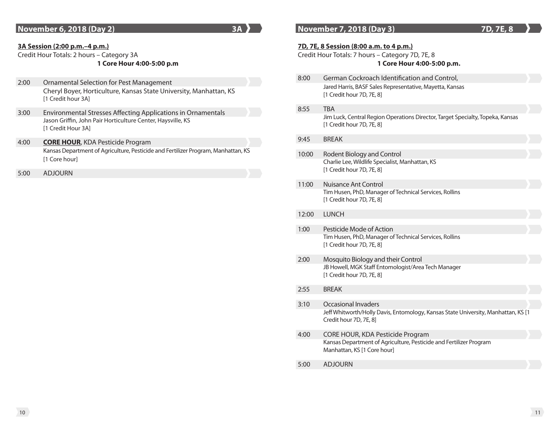## **November 6, 2018 (Day 2) 3A**

### **3A Session (2:00 p.m.–4 p.m.)**

Credit Hour Totals: 2 hours – Category 3A

### **1 Core Hour 4:00-5:00 p.m**

- 2:00 Ornamental Selection for Pest Management Cheryl Boyer, Horticulture, Kansas State University, Manhattan, KS [1 Credit hour 3A]
- 3:00 Environmental Stresses Affecting Applications in Ornamentals Jason Griffin, John Pair Horticulture Center, Haysville, KS [1 Credit Hour 3A]
- 4:00 **CORE HOUR**, KDA Pesticide Program Kansas Department of Agriculture, Pesticide and Fertilizer Program, Manhattan, KS [1 Core hour]

5:00 ADJOURN

## **November 7, 2018 (Day 3)** 7D, 7E, 8

| <u>7D, 7E, 8 Session (8:00 a.m. to 4 p.m.)</u><br>Credit Hour Totals: 7 hours - Category 7D, 7E, 8<br>1 Core Hour 4:00-5:00 p.m. |                                                                                                                                       |  |  |
|----------------------------------------------------------------------------------------------------------------------------------|---------------------------------------------------------------------------------------------------------------------------------------|--|--|
| 8:00                                                                                                                             | German Cockroach Identification and Control,<br>Jared Harris, BASF Sales Representative, Mayetta, Kansas<br>[1 Credit hour 7D, 7E, 8] |  |  |
| 8:55                                                                                                                             | <b>TBA</b><br>Jim Luck, Central Region Operations Director, Target Specialty, Topeka, Kansas<br>[1 Credit hour 7D, 7E, 8]             |  |  |
| 9:45                                                                                                                             | <b>BRFAK</b>                                                                                                                          |  |  |
| 10:00                                                                                                                            | <b>Rodent Biology and Control</b><br>Charlie Lee, Wildlife Specialist, Manhattan, KS<br>[1 Credit hour 7D, 7E, 8]                     |  |  |
| 11:00                                                                                                                            | Nuisance Ant Control<br>Tim Husen, PhD, Manager of Technical Services, Rollins<br>$[1$ Credit hour 7D, 7E, 8 $]$                      |  |  |
| 12:00                                                                                                                            | <b>LUNCH</b>                                                                                                                          |  |  |
| 1:00                                                                                                                             | Pesticide Mode of Action<br>Tim Husen, PhD, Manager of Technical Services, Rollins<br>[1 Credit hour 7D, 7E, 8]                       |  |  |
| 2:00                                                                                                                             | Mosquito Biology and their Control<br>JB Howell, MGK Staff Entomologist/Area Tech Manager<br>[1 Credit hour 7D, 7E, 8]                |  |  |
| 2:55                                                                                                                             | <b>BRFAK</b>                                                                                                                          |  |  |
| 3:10                                                                                                                             | Occasional Invaders<br>Jeff Whitworth/Holly Davis, Entomology, Kansas State University, Manhattan, KS [1<br>Credit hour 7D, 7E, 8]    |  |  |
| 4:00                                                                                                                             | CORE HOUR, KDA Pesticide Program<br>Kansas Department of Agriculture, Pesticide and Fertilizer Program<br>Manhattan, KS [1 Core hour] |  |  |
| 5:00                                                                                                                             | <b>ADJOURN</b>                                                                                                                        |  |  |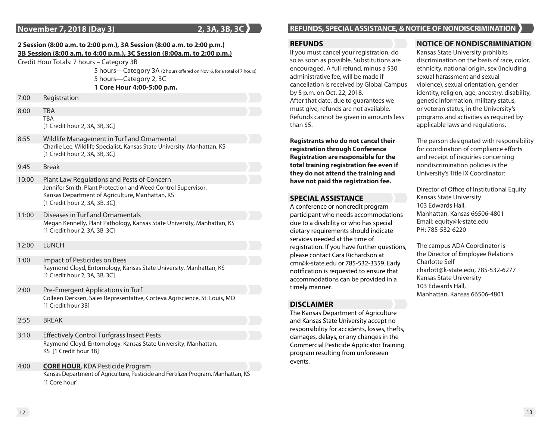## **November 7, 2018 (Day 3) 2, 3A, 3B, 3C**

## **2 Session (8:00 a.m. to 2:00 p.m.), 3A Session (8:00 a.m. to 2:00 p.m.) 3B Session (8:00 a.m. to 4:00 p.m.), 3C Session (8:00a.m. to 2:00 p.m.)**

Credit Hour Totals: 7 hours – Category 3B

5 hours—Category 3A (2 hours offered on Nov. 6, for a total of 7 hours) 5 hours—Category 2, 3C **1 Core Hour 4:00-5:00 p.m.**

- 7:00 Registration
- 8:00 TBA TBA [1 Credit hour 2, 3A, 3B, 3C]
- 8:55 Wildlife Management in Turf and Ornamental Charlie Lee, Wildlife Specialist, Kansas State University, Manhattan, KS [1 Credit hour 2, 3A, 3B, 3C]

9:45 Break

- 10:00 Plant Law Regulations and Pests of Concern Jennifer Smith, Plant Protection and Weed Control Supervisor, Kansas Department of Agriculture, Manhattan, KS [1 Credit hour 2, 3A, 3B, 3C]
- 11:00 Diseases in Turf and Ornamentals Megan Kennelly, Plant Pathology, Kansas State University, Manhattan, KS [1 Credit hour 2, 3A, 3B, 3C]

12:00 LUNCH

- 1:00 Impact of Pesticides on Bees Raymond Cloyd, Entomology, Kansas State University, Manhattan, KS [1 Credit hour 2, 3A, 3B, 3C]
- 2:00 Pre-Emergent Applications in Turf Colleen Derksen, Sales Representative, Corteva Agriscience, St. Louis, MO [1 Credit hour 3B]
- 2:55 BREAK
- 3:10 Effectively Control Turfgrass Insect Pests Raymond Cloyd, Entomology, Kansas State University, Manhattan, KS [1 Credit hour 3B]
- 4:00 **CORE HOUR**, KDA Pesticide Program Kansas Department of Agriculture, Pesticide and Fertilizer Program, Manhattan, KS [1 Core hour]

## **REFUNDS, SPECIAL ASSISTANCE, & NOTICE OF NONDISCRIMINATION**

### **REFUNDS**

If you must cancel your registration, do so as soon as possible. Substitutions are encouraged. A full refund, minus a \$30 administrative fee, will be made if cancellation is received by Global Campus by 5 p.m. on Oct. 22, 2018. After that date, due to guarantees we must give, refunds are not available. Refunds cannot be given in amounts less than \$5.

**Registrants who do not cancel their registration through Conference Registration are responsible for the total training registration fee even if they do not attend the training and have not paid the registration fee.**

## **SPECIAL ASSISTANCE**

A conference or noncredit program participant who needs accommodations due to a disability or who has special dietary requirements should indicate services needed at the time of registration. If you have further questions, please contact Cara Richardson at cmr@k-state.edu or 785-532-3359. Early notification is requested to ensure that accommodations can be provided in a timely manner.

## **DISCLAIMER**

The Kansas Department of Agriculture and Kansas State University accept no responsibility for accidents, losses, thefts, damages, delays, or any changes in the Commercial Pesticide Applicator Training program resulting from unforeseen events.

## **NOTICE OF NONDISCRIMINATION**

Kansas State University prohibits discrimination on the basis of race, color, ethnicity, national origin, sex (including sexual harassment and sexual violence), sexual orientation, gender identity, religion, age, ancestry, disability, genetic information, military status, or veteran status, in the University's programs and activities as required by applicable laws and regulations.

The person designated with responsibility for coordination of compliance efforts and receipt of inquiries concerning nondiscrimination policies is the University's Title IX Coordinator:

Director of Office of Institutional Equity Kansas State University 103 Edwards Hall, Manhattan, Kansas 66506-4801 Email: equity@k-state.edu PH: 785-532-6220

The campus ADA Coordinator is the Director of Employee Relations Charlotte Self charlott@k-state.edu, 785-532-6277 Kansas State University 103 Edwards Hall, Manhattan, Kansas 66506-4801